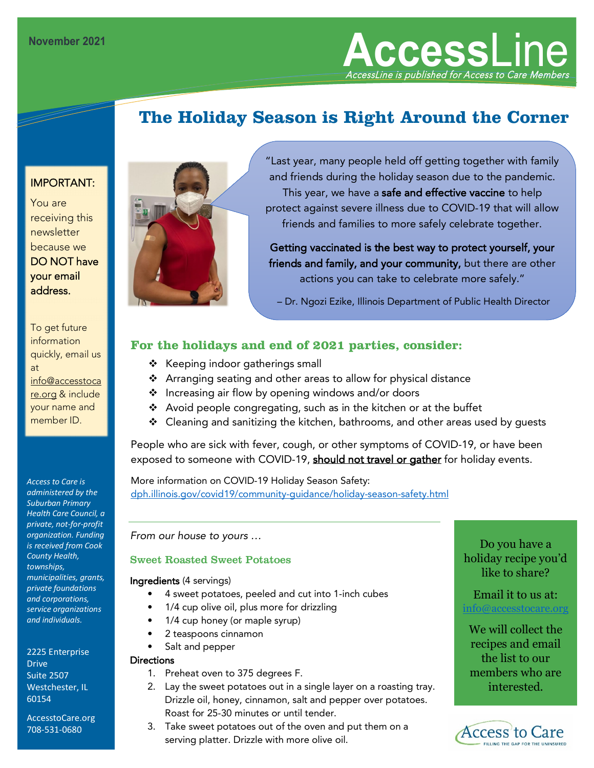**Access**Line AccessLine is published for Access to Care Members

# **The Holiday Season is Right Around the Corner**

### IMPORTANT:

You are receiving this newsletter because we DO NOT have your email address.

To get future information quickly, email us at info@accesstoca re.org & include your name and member ID.

*Access to Care is administered by the Suburban Primary Health Care Council, a private, not-for-profit organization. Funding is received from Cook County Health, townships, municipalities, grants, private foundations and corporations, service organizations and individuals.*

2225 Enterprise **Drive** Suite 2507 Westchester, IL 60154

AccesstoCare.org 708-531-0680



"Last year, many people held off getting together with family and friends during the holiday season due to the pandemic. This year, we have a safe and effective vaccine to help protect against severe illness due to COVID-19 that will allow friends and families to more safely celebrate together.

Getting vaccinated is the best way to protect yourself, your friends and family, and your community, but there are other actions you can take to celebrate more safely."

– Dr. Ngozi Ezike, Illinois Department of Public Health Director

#### **For the holidays and end of 2021 parties, consider:**

- $\div$  Keeping indoor gatherings small
- Arranging seating and other areas to allow for physical distance
- ❖ Increasing air flow by opening windows and/or doors
- Avoid people congregating, such as in the kitchen or at the buffet
- $\div$  Cleaning and sanitizing the kitchen, bathrooms, and other areas used by quests

People who are sick with fever, cough, or other symptoms of COVID-19, or have been exposed to someone with COVID-19, should not travel or gather for holiday events.

More information on COVID-19 Holiday Season Safety: [dph.illinois.gov/covid19/community-guidance/holiday-season-safety.html](https://dph.illinois.gov/covid19/community-guidance/holiday-season-safety.html)

*From our house to yours …* 

#### Sweet Roasted Sweet Potatoes

#### Ingredients (4 servings)

- 4 sweet potatoes, peeled and cut into 1-inch cubes
- 1/4 cup olive oil, plus more for drizzling
- 1/4 cup honey (or maple syrup)
- 2 teaspoons cinnamon
- Salt and pepper

#### **Directions**

- 1. Preheat oven to 375 degrees F.
- 2. Lay the sweet potatoes out in a single layer on a roasting tray. Drizzle oil, honey, cinnamon, salt and pepper over potatoes. Roast for 25-30 minutes or until tender.
- 3. Take sweet potatoes out of the oven and put them on a serving platter. Drizzle with more olive oil.

Do you have a holiday recipe you'd like to share?

Email it to us at: ifo@accesstocare.

We will collect the recipes and email the list to our members who are interested.

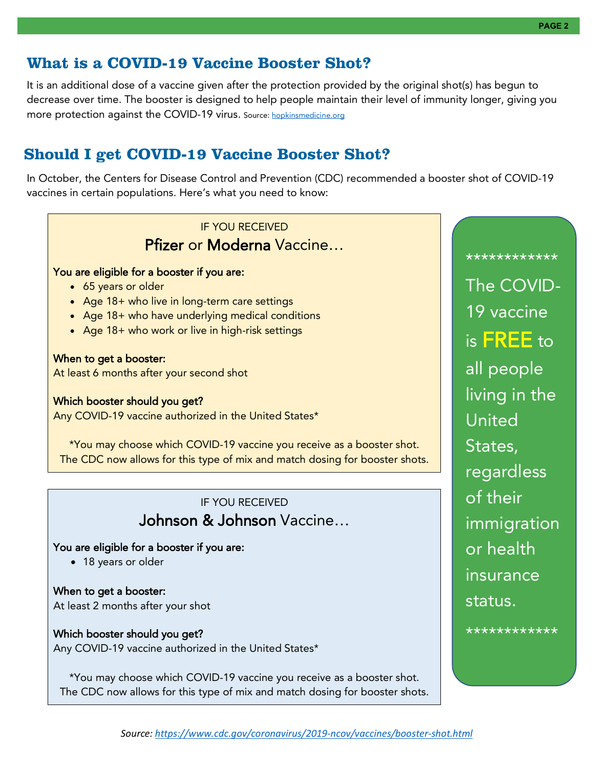# **What is a COVID-19 Vaccine Booster Shot?**

It is an additional dose of a vaccine given after the protection provided by the original shot(s) has begun to decrease over time. The booster is designed to help people maintain their level of immunity longer, giving you more protection against the COVID-19 virus. Source: [hopkinsmedicine.org](https://www.hopkinsmedicine.org/)

## **Should I get COVID-19 Vaccine Booster Shot?**

In October, the Centers for Disease Control and Prevention (CDC) recommended a booster shot of COVID-19 vaccines in certain populations. Here's what you need to know:



\*You may choose which COVID-19 vaccine you receive as a booster shot. The CDC now allows for this type of mix and match dosing for booster shots.

*Source:<https://www.cdc.gov/coronavirus/2019-ncov/vaccines/booster-shot.html>*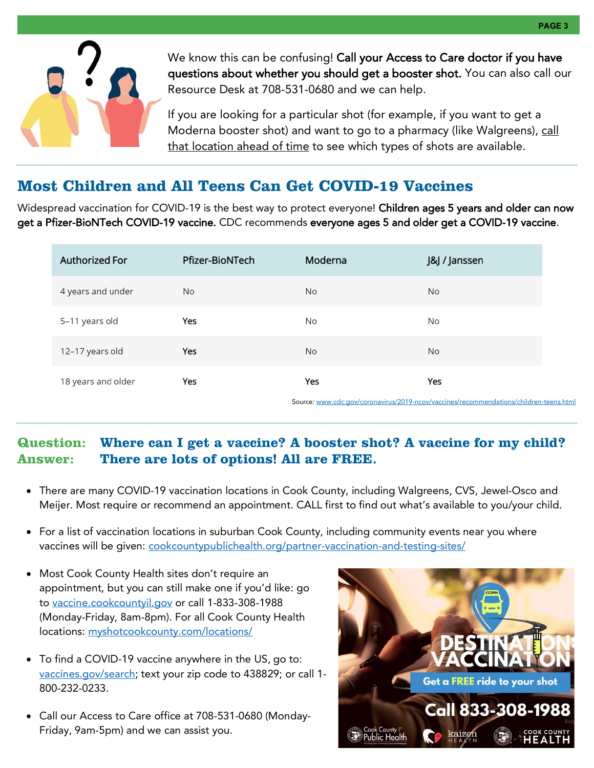

We know this can be confusing! Call your Access to Care doctor if you have questions about whether you should get a booster shot. You can also call our Resource Desk at 708-531-0680 and we can help.

If you are looking for a particular shot (for example, if you want to get a Moderna booster shot) and want to go to a pharmacy (like Walgreens), call that location ahead of time to see which types of shots are available.

## **Most Children and All Teens Can Get COVID-19 Vaccines**

Widespread vaccination for COVID-19 is the best way to protect everyone! Children ages 5 years and older can now get a Pfizer-BioNTech COVID-19 vaccine. CDC recommends everyone ages 5 and older get a COVID-19 vaccine.

| <b>Authorized For</b> | <b>Pfizer-BioNTech</b> | Moderna   | J&J / Janssen                                                                          |
|-----------------------|------------------------|-----------|----------------------------------------------------------------------------------------|
| 4 years and under     | No.                    | <b>No</b> | <b>No</b>                                                                              |
| 5-11 years old        | Yes                    | No        | No                                                                                     |
| 12-17 years old       | Yes                    | <b>No</b> | <b>No</b>                                                                              |
| 18 years and older    | Yes                    | Yes       | Yes                                                                                    |
|                       |                        |           | Source: www.cdc.gov/coronavirus/2019-ncov/vaccines/recommendations/children-teens.html |

### **Question: Where can I get a vaccine? A booster shot? A vaccine for my child? Answer: There are lots of options! All are FREE.**

- There are many COVID-19 vaccination locations in Cook County, including Walgreens, CVS, Jewel-Osco and Meijer. Most require or recommend an appointment. CALL first to find out what's available to you/your child.
- For a list of vaccination locations in suburban Cook County, including community events near you where vaccines will be given: [cookcountypublichealth.org/partner-vaccination-and-testing-sites/](https://cookcountypublichealth.org/partner-vaccination-and-testing-sites/)
- Most Cook County Health sites don't require an appointment, but you can still make one if you'd like: go to [vaccine.cookcountyil.gov](https://vaccine.cookcountyil.gov/) or call 1-833-308-1988 (Monday-Friday, 8am-8pm). For all Cook County Health locations: [myshotcookcounty.com/locations/](https://myshotcookcounty.com/locations/)
- To find a COVID-19 vaccine anywhere in the US, go to: [vaccines.gov/search;](http://www.vaccines.gov/search) text your zip code to 438829; or call 1-800-232-0233.
- Call our Access to Care office at 708-531-0680 (Monday-Friday, 9am-5pm) and we can assist you.